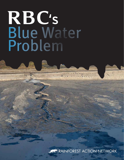# Blue Water Problem RBC's



Convenience your of the City Court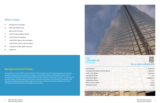# What's Inside

- **2** Background and Findings
- **4** RBC's Blue Water Project RBC and the Tar Sands
- **5** The Tar Sands and Water Quality
- **6** CASE STUDY: Ft.Chipewyan
- **7** CASE STUDY: Beaver Lake First Nation CASE STUDY: Lubicon Lake First Nation
- **8** A Blueprint for RBC's Water Protection
- **9** References



# Background and Findings

The Royal Bank of Canada (RBC) is the top financier of the tar sands, one of the fastest growing sources of water pollution and greenhouse gas emissions in Canada. In 2008, RBC launched a new Blue Water Project, which is "committed to donating \$50 million toward global fresh water initiatives over the next ten years." In contrast to the \$3 million dollars actually released in water quality improvement donations in the first year of the program, RBC financed an estimated minimum of \$641 million for oil and gas companies operating in the Alberta tar sands inflicting documented devastation on Canada's water resources.



## **RBC (TSX/NYSE: RY) Financials**

#### Total Revenue:

Earnings before Interest and Tax (\$000): Profit / Loss (\$000): Earnings Per Share: Total Assets (\$000) Dividends per Share: Return on Com. Equity: Employees (2007):



## **Oct. 31, 2008. 12 Months (C\$)**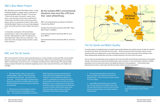RBC is the top financier of the tar sands. Estimates based on a review of public records show RBC to be the largest financier of major tar sands operators. RBC issued more than \$2.3 billion in loans and financed more than \$6.9 billion in debt between 2003 and 2007 for 13 companies including: EnCana, Husky Energy, OPTI Canada, Delphi Energy, Canadian Oil Sands Trust, Northwest Upgrading, Suncor, Total, Connacher Oil & Gas, Inter Pipeline and Enbridge. 7

• RBC financed \$210 million in loans and an estimated \$992.7 million in debt underwriting to members of the Syncrude 8 joint venture from 2003-2007. 9 The Syncrude Project is being sued for \$500,000 by the Province of Alberta after 500 ducks died from landing in one of the company's huge toxic tar sands lakes.<sup>10</sup>

# RBC and The Tar Sands

# The Tar Sands and Water Quality

RBC officially launched their Blue Water Project<sup>1</sup> during the Beijing Olympics in August 2008 in a television ad produced by BBDO called "This Much." The ad says: "Think of all the water in the world...oceans, rivers, lakes. It may seem like a lot but only a small fraction is fresh water, and there's only so much to go around, which is why it is so important to protect it. We created the RBC Blue Water Project as our way to help safeguard water. The world's precious resource. Water, let's protect it."2



• RBC financed an estimated \$486.9 million in debt, equity and loans for Enbridge from 2004- 2007. 11 For 37 years the coastal waters of northern

In a November 2008 speech, CEO Gordon Nixon proclaimed that, "water is the problem of the ages" and that, "[l]ife depends on water. It's high time we remembered that." Nixon went on to state that, "…the water risks to the oil and gas industry are like a canary in the coal mine." 3

# RBC's Blue Water Project

RBC's 2007 advertising buy according to The Nielson Company: \$42 Million <sup>4</sup>

Average annual donations promised under RBC's "Blue Water Project": \$5 Million

> The tar sands not only devastates water quality but also risks the health and well being of downstream communities. Already, communities have experienced polluted water, water reductions in rivers and aquifers, declines in wildlife populations such as moose and muskrat, and significant declines in fish populations. 14 Communities living downstream from the tar sands report that fish and water quality have been devastated.<sup>15</sup>

Environmental donations reported by RBC for 2007: \$3.25 Million 5

Environmental donations reported by RBC for 2008: \$2.2 Million 6



## By the numbers RBC's environmental donations look more like a PR stunt than water philanthropy.

British Columbia have been protected from oil tanker traffic. Now, Enbridge plans to build the "Gateway" crude oil pipeline from Alberta's tar sands to a supertanker port in Kitimat that would pose countless risks to the coast of BC's Great Bear Rainforest. In 1977, a Government of Canada report found that serious oil spills would be inevitable with an oil port in Kitimat, and that these spills would likely have major adverse impacts on fisheries populations in the northern coastal region. 12

Tar sands projects are leading threats to Canada's water quality. Between two and four barrels of water are required to produce each barrel of oil extracted from the sands. <sup>13</sup> At least 90 percent of the fresh water used in oil sand extraction winds up in tailing ponds so toxic that propane cannons are used to keep ducks from landing on them. These tailings ponds already span more than 50 square kilometers and can be seen from space.

- • Oil sands mining operations are licensed to divert 349 million m3 of water per year from the Athabasca River – twice the amount of water used by the City of Calgary.
- • A 2006 Alberta Government report concludes that "Over the long term the Athabasca River may not have sufficient flows to meet the needs of all the planned mining operations and maintain adequate instream flows." 16

• Recent projections by Canada's oil industry expect oil production to nearly triple by 2020. 17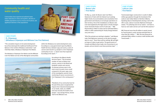Communities have experienced polluted water, water reductions in rivers and aquifers, declines in wildlife populations such as moose and muskrat, and significant declines in fish populations



# Community health and water quality

"The cumulative impacts of oil sands development has all but destroyed the traditional livelihood of First Nations in the northern Athabasca watershed," said Chief Alan Adam, Athabasca Chipewyan First Nation.

The Athabasca Chipewyan First Nation and the Mikisew Cree First Nation are two of five Aboriginal communities

On May 14, 2008, the Beaver Lake Cree filed a Statement of Claim with the Federal Court seeking higher levels of accommodation and consultation from government and industry on oil and gas operations on their territory. One of the installations on Beaver Lake Cree land targeted by the legal action is Husky Energy's Tucker Oil Sands Project north of Cold Lake. 20 RBC financed \$250 million in loans and an estimated \$180 7 million in debt underwriting for Husky Energy between 2003 and 2007. 21

"All of the animals are starting to deplete," said Beaver Lake Chief Alphonse Lameman on the day his people went to court. "Soon there will be nothing. We will fight as long as it takes to get justice. The governments of Canada and Alberta have made a lot of promises to our people, and we intend to see those promises kept." 22



TransCanada began construction in 2008 of a \$983 million gas pipeline through the homeland of the Lubicon Lake Indian Nation in Northern Alberta. Speaking about oil developments during a visit to the UN in 2006, Lubicon Councilor Alphonse Ominayak stated, ''It's polluting most of our waters—we have to haul our own water and we can't eat the fish anymore.''

RBC financed more than \$1 billion in equity issued by TransCanada in 2008, earning estimated fees of more than \$11 million. <sup>23</sup> RBC has also financed an estimated \$385 million in various credit facilities with TransCanada. 24

within the Athabasca tar sands development zone. According to a 2009 government report by Alberta Health Services, between 1995 and 2006 51 cases of cancers were found in 47 people in a Fort Chipewyan community of 1200—a dozen more than expected According to the report. 18



According to the Alberta Health Services report, "The increased number of cases of biliary tract cancers, cancers in the blood and lymphatic system and cancers of unknown primary seen in the most recent six years (2001-2006) compared to the years 1995-2000 of the investigation warrant closer monitoring of cancer occurrences in Fort Chipewyan in the coming years." 19

"Residents of my community have for the past thirty years recognized the impacts from industrial development on our lands, water, air, wildlife and most recently the health of our people." says George Poitras, former chief of the Mikisew Cree.

### **CASE STUDY: Ft. Chipewyan (Athabasca Chipewyan and Mikisew Cree First Nations)**

## **CASE STUDY: Beaver Lake First Nation**

## **CASE STUDY: Lubicon Lake First Nation**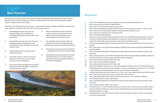- **1.** Acknowledge and respect the treaty and Aboriginal rights of the First Nations of the Athabasca Watershed and those that reside downstream;
- **2.** Acknowledge and respect the world view of the Indigenous peoples including their sacred responsibility to future generations as stewards of mother earth;
- **3.** Suspend financing for the expansion of tar sands infrastructure;
- **4.** Lend public support to calls for a provincial government moratorium on new tar sands licenses, tenures and expansion;
- **5.** Ensure that all financing addresses and respects Aboriginal title and treaty rights, including free, prior and informed consent;

With more than \$1 trillion in assets, the financing decisions of RBC greatly impact Canada's \$1.3 trillion economy. When RBC finances oil sands expansion, it locks in a polluting infrastructure that will have permanent negative impacts on regional water and air quality.

- **6.** Adopt a comprehensive climate policy that commits to reduce financed emissions and address climate change implications and opportunities across all business lines;
- **7.** Set meaningful carbon reduction targets for energy sector and other top greenhouse gas intensive sector lending and investment portfolios;
- **8.** Substantially increase and prioritize lending for energy efficiency and clean renewable energy.
- **9.** Substantially increase and prioritize its lending and philanthropical arm to support regional watershed protection programs that adhere to First Nations sovereignty."



**8.** Syncrude is a joint venture of Canadian Oil Sands Limited, ConocoPhillips Oil Sand Partnership II, Imperial Company Ltd., Nexen Oil Sands Partnership, and Petroers/folder.asp?FolderID=5626).

Godon Nixon must follow the lead of a February 11, 2009 resolution passed by Keepers of the Water, a network of tar sands impacted communities, that calls on RBC to "take prompt action to…

## **A Blueprint for RBC's Water Protection**

```
4. http://www.marketingmag.ca/english/creative/thework/article.jsp?content=20081222_120555_21248
```

| 1.  | http://www.strategymag.com/articles/magazine/20090101/branddiaries.html?print=yes                 |
|-----|---------------------------------------------------------------------------------------------------|
| 2.  | http://www.youtube.com/watch?v=fWmJGrYmDxQ                                                        |
| 3.  | http://www.rbc.com/newsroom/2008/1125-nixon.html                                                  |
| 4.  | http://www.marketingmag.ca/english/creative/thework/article.jsp?content=20081222_1                |
| 5.  | http://www.rbc.com/responsibility/pdf/RBC-2007report-review-e.pdf#Community                       |
| 6.  | http://www.rbc.com/donations/our-contribution.html                                                |
| 7.  | http://ClimateFriendlyBanking.com                                                                 |
| 8.  | Syncrude is a joint venture of Canadian Oil Sands Limited, ConocoPhillips Oil Sand Partner        |
|     | Oil Resources, Mocal Energy Limited, Murphy Oil Company Ltd., Nexen Oil Sands Partners            |
|     | Canada Oil and Gas (http://www.syncrude.ca/users/folder.asp?FolderID=5626).                       |
| 9.  | http://climatefriendlybanking.com/fileadmin/materials/comms/mediacontent/reports/p<br>port.pdf    |
| 10. | http://www.reuters.com/article/environmentNews/idUSTRE5187LF20090209?feedType=<br>environmentNews |
| 11. | http://climatefriendlybanking.com/fileadmin/materials/comms/mediacontent/reports/p<br>report.pdf  |

**9.** http://climatefriendlybanking.com/fileadmin/materials/comms/mediacontent/reports/profundo\_bank\_re

10. http://www.reuters.com/article/environmentNews/idUSTRE5187LF20090209?feedType=RSS&feedName=

**11.** http://climatefriendlybanking.com/fileadmin/materials/comms/mediacontent/reports/profundo\_bank\_

**12.** http://www.empr.gov.bc.ca/OG/offshoreoilandgas/ReportsPresentationsandEducationalMaterial/Reports/

**16.** Government of Alberta, Investing in our Future: Responding to the Rapid Growth of Oil Sands Development Final Report (Edmonton, AB: Government of Alberta, 2006), 112, www.alberta.ca/home/395.cfm . This report

**17.** Canadian Association of Petrolium Producers. Dec. 2008 - http://www.capp.ca/GetDoc.aspx?DocID=145042

21. http://climatefriendlybanking.com/fileadmin/materials/comms/mediacontent/reports/profundo\_bank

- Documents/West-Coast-Oil-Port-Inquiry-Statement-of-Proceedings.pdf
- 13. http://pubs.pembina.org/reports/OSF\_Fact72.pdf
- **14.** http://www.nrdc.org/energy/dirtyfuels.pdf
- 15. http://pubs.pembina.org/reports/OSF\_Fact72.pdf
- is often referred to as the Radke Report, after the report coordinator, Doug Radke.
- 
- **18.** http://www.cbc.ca/health/story/2009/02/06/edm-fort-chip-cancer.html
- **19.** http://www.albertahealthservices.ca/pdf/newsreleases/20090202\_fort\_chipewyan\_study.pdf
- **20.** http://thetyee.ca/News/2008/07/28/LawSuit/
- report.pdf
- **22.** http://thetyee.ca/News/2008/07/28/LawSuit/
- azDHA1SeH.O4&refer=canada
- com/dVut2.tC3d.htm#2pa2

**23.** Estimate based on 1/3 take of total fees of \$35,227,500 cited in http://www.secinfo.com/d11MXs.t26D7.d. htm?Find=rbc&Line=58#Line58. Also see: http://www.bloomberg.com/appsnews?pid=20601082&sid=

**24.** Estimate based on a 1/8 stake of \$2.8655 billion in total credit facilities disclosed in http://www.secinfo.

# References